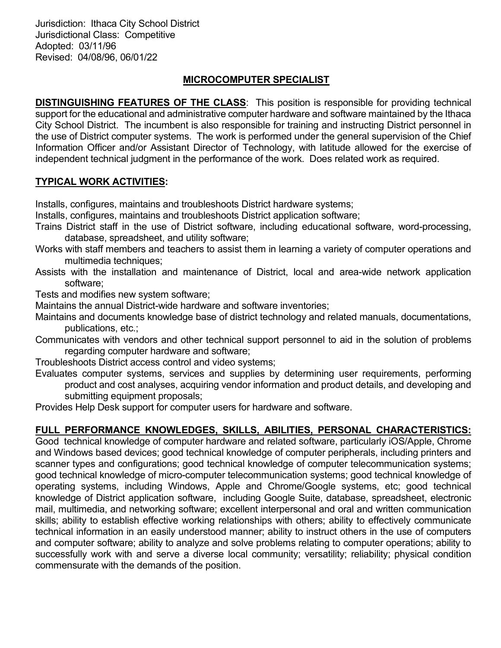Jurisdiction: Ithaca City School District Jurisdictional Class: Competitive Adopted: 03/11/96 Revised: 04/08/96, 06/01/22

### MICROCOMPUTER SPECIALIST

**DISTINGUISHING FEATURES OF THE CLASS:** This position is responsible for providing technical support for the educational and administrative computer hardware and software maintained by the Ithaca City School District. The incumbent is also responsible for training and instructing District personnel in the use of District computer systems. The work is performed under the general supervision of the Chief Information Officer and/or Assistant Director of Technology, with latitude allowed for the exercise of independent technical judgment in the performance of the work. Does related work as required.

# TYPICAL WORK ACTIVITIES:

Installs, configures, maintains and troubleshoots District hardware systems;

Installs, configures, maintains and troubleshoots District application software;

- Trains District staff in the use of District software, including educational software, word-processing, database, spreadsheet, and utility software;
- Works with staff members and teachers to assist them in learning a variety of computer operations and multimedia techniques;
- Assists with the installation and maintenance of District, local and area-wide network application software;
- Tests and modifies new system software;
- Maintains the annual District-wide hardware and software inventories;
- Maintains and documents knowledge base of district technology and related manuals, documentations, publications, etc.;
- Communicates with vendors and other technical support personnel to aid in the solution of problems regarding computer hardware and software;
- Troubleshoots District access control and video systems;
- Evaluates computer systems, services and supplies by determining user requirements, performing product and cost analyses, acquiring vendor information and product details, and developing and submitting equipment proposals;

Provides Help Desk support for computer users for hardware and software.

# FULL PERFORMANCE KNOWLEDGES, SKILLS, ABILITIES, PERSONAL CHARACTERISTICS:

Good technical knowledge of computer hardware and related software, particularly iOS/Apple, Chrome and Windows based devices; good technical knowledge of computer peripherals, including printers and scanner types and configurations; good technical knowledge of computer telecommunication systems; good technical knowledge of micro-computer telecommunication systems; good technical knowledge of operating systems, including Windows, Apple and Chrome/Google systems, etc; good technical knowledge of District application software, including Google Suite, database, spreadsheet, electronic mail, multimedia, and networking software; excellent interpersonal and oral and written communication skills; ability to establish effective working relationships with others; ability to effectively communicate technical information in an easily understood manner; ability to instruct others in the use of computers and computer software; ability to analyze and solve problems relating to computer operations; ability to successfully work with and serve a diverse local community; versatility; reliability; physical condition commensurate with the demands of the position.